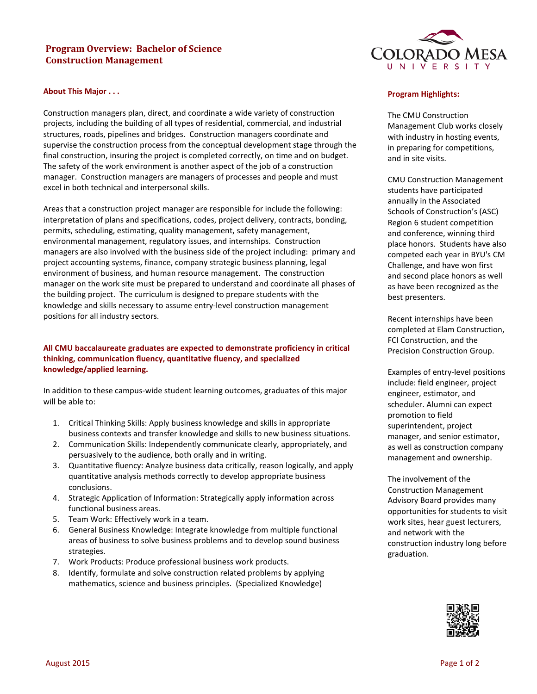# **Program Overview: Bachelor of Science Construction Management**



#### **About This Major . . .**

Construction managers plan, direct, and coordinate a wide variety of construction projects, including the building of all types of residential, commercial, and industrial structures, roads, pipelines and bridges. Construction managers coordinate and supervise the construction process from the conceptual development stage through the final construction, insuring the project is completed correctly, on time and on budget. The safety of the work environment is another aspect of the job of a construction manager. Construction managers are managers of processes and people and must excel in both technical and interpersonal skills.

Areas that a construction project manager are responsible for include the following: interpretation of plans and specifications, codes, project delivery, contracts, bonding, permits, scheduling, estimating, quality management, safety management, environmental management, regulatory issues, and internships. Construction managers are also involved with the business side of the project including: primary and project accounting systems, finance, company strategic business planning, legal environment of business, and human resource management. The construction manager on the work site must be prepared to understand and coordinate all phases of the building project. The curriculum is designed to prepare students with the knowledge and skills necessary to assume entry-level construction management positions for all industry sectors.

## **All CMU baccalaureate graduates are expected to demonstrate proficiency in critical thinking, communication fluency, quantitative fluency, and specialized knowledge/applied learning.**

In addition to these campus-wide student learning outcomes, graduates of this major will be able to:

- 1. Critical Thinking Skills: Apply business knowledge and skills in appropriate business contexts and transfer knowledge and skills to new business situations.
- 2. Communication Skills: Independently communicate clearly, appropriately, and persuasively to the audience, both orally and in writing.
- 3. Quantitative fluency: Analyze business data critically, reason logically, and apply quantitative analysis methods correctly to develop appropriate business conclusions.
- 4. Strategic Application of Information: Strategically apply information across functional business areas.
- 5. Team Work: Effectively work in a team.
- 6. General Business Knowledge: Integrate knowledge from multiple functional areas of business to solve business problems and to develop sound business strategies.
- 7. Work Products: Produce professional business work products.
- 8. Identify, formulate and solve construction related problems by applying mathematics, science and business principles. (Specialized Knowledge)

#### **Program Highlights:**

The CMU Construction Management Club works closely with industry in hosting events, in preparing for competitions, and in site visits.

CMU Construction Management students have participated annually in the Associated Schools of Construction's (ASC) Region 6 student competition and conference, winning third place honors. Students have also competed each year in BYU's CM Challenge, and have won first and second place honors as well as have been recognized as the best presenters.

Recent internships have been completed at Elam Construction, FCI Construction, and the Precision Construction Group.

Examples of entry-level positions include: field engineer, project engineer, estimator, and scheduler. Alumni can expect promotion to field superintendent, project manager, and senior estimator, as well as construction company management and ownership.

The involvement of the Construction Management Advisory Board provides many opportunities for students to visit work sites, hear guest lecturers, and network with the construction industry long before graduation.